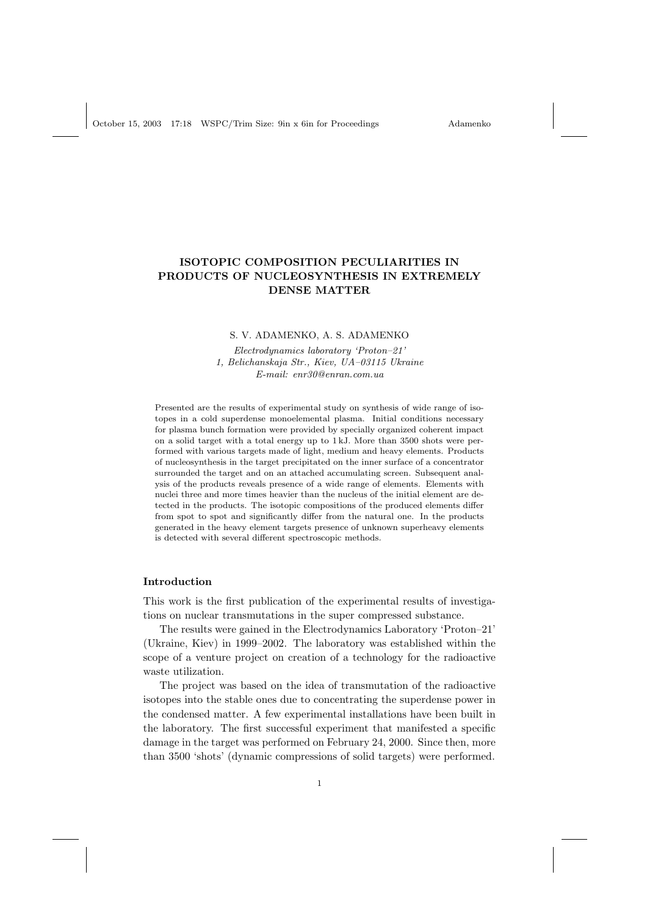October 15, 2003 17:18 WSPC/Trim Size: 9in x 6in for Proceedings Adamenko

# ISOTOPIC COMPOSITION PECULIARITIES IN PRODUCTS OF NUCLEOSYNTHESIS IN EXTREMELY DENSE MATTER

#### S. V. ADAMENKO, A. S. ADAMENKO

Electrodynamics laboratory 'Proton–21' 1, Belichanskaja Str., Kiev, UA–03115 Ukraine E-mail: enr30@enran.com.ua

Presented are the results of experimental study on synthesis of wide range of isotopes in a cold superdense monoelemental plasma. Initial conditions necessary for plasma bunch formation were provided by specially organized coherent impact on a solid target with a total energy up to 1 kJ. More than 3500 shots were performed with various targets made of light, medium and heavy elements. Products of nucleosynthesis in the target precipitated on the inner surface of a concentrator surrounded the target and on an attached accumulating screen. Subsequent analysis of the products reveals presence of a wide range of elements. Elements with nuclei three and more times heavier than the nucleus of the initial element are detected in the products. The isotopic compositions of the produced elements differ from spot to spot and significantly differ from the natural one. In the products generated in the heavy element targets presence of unknown superheavy elements is detected with several different spectroscopic methods.

## Introduction

This work is the first publication of the experimental results of investigations on nuclear transmutations in the super compressed substance.

The results were gained in the Electrodynamics Laboratory 'Proton–21' (Ukraine, Kiev) in 1999–2002. The laboratory was established within the scope of a venture project on creation of a technology for the radioactive waste utilization.

The project was based on the idea of transmutation of the radioactive isotopes into the stable ones due to concentrating the superdense power in the condensed matter. A few experimental installations have been built in the laboratory. The first successful experiment that manifested a specific damage in the target was performed on February 24, 2000. Since then, more than 3500 'shots' (dynamic compressions of solid targets) were performed.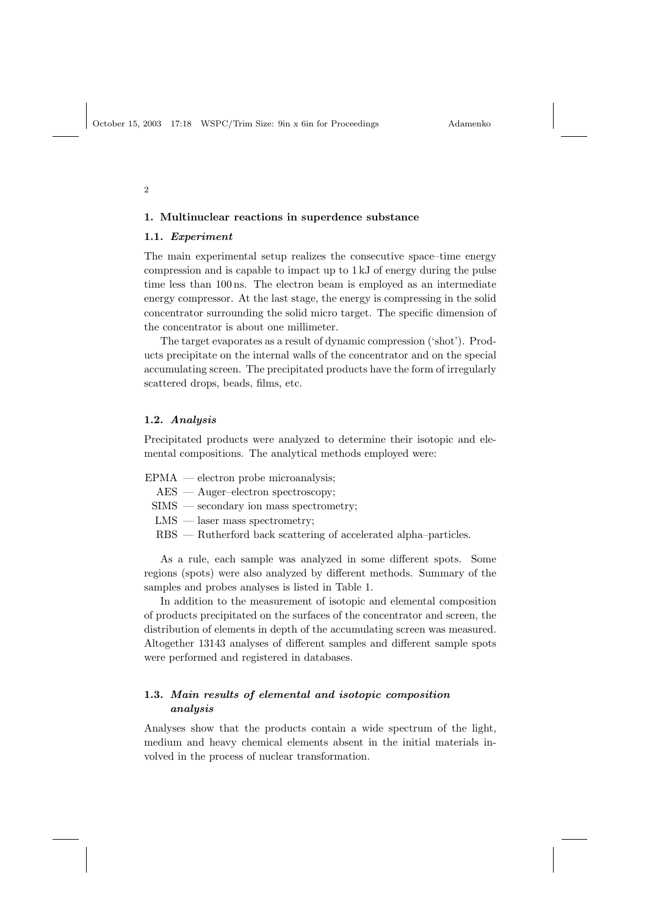$\overline{2}$ 

## 1. Multinuclear reactions in superdence substance

## 1.1. Experiment

The main experimental setup realizes the consecutive space–time energy compression and is capable to impact up to 1 kJ of energy during the pulse time less than 100 ns. The electron beam is employed as an intermediate energy compressor. At the last stage, the energy is compressing in the solid concentrator surrounding the solid micro target. The specific dimension of the concentrator is about one millimeter.

The target evaporates as a result of dynamic compression ('shot'). Products precipitate on the internal walls of the concentrator and on the special accumulating screen. The precipitated products have the form of irregularly scattered drops, beads, films, etc.

#### 1.2. Analysis

Precipitated products were analyzed to determine their isotopic and elemental compositions. The analytical methods employed were:

- EPMA electron probe microanalysis;
	- AES Auger-electron spectroscopy;
	- SIMS secondary ion mass spectrometry;
	- LMS laser mass spectrometry;
	- RBS Rutherford back scattering of accelerated alpha–particles.

As a rule, each sample was analyzed in some different spots. Some regions (spots) were also analyzed by different methods. Summary of the samples and probes analyses is listed in Table 1.

In addition to the measurement of isotopic and elemental composition of products precipitated on the surfaces of the concentrator and screen, the distribution of elements in depth of the accumulating screen was measured. Altogether 13143 analyses of different samples and different sample spots were performed and registered in databases.

## 1.3. Main results of elemental and isotopic composition analysis

Analyses show that the products contain a wide spectrum of the light, medium and heavy chemical elements absent in the initial materials involved in the process of nuclear transformation.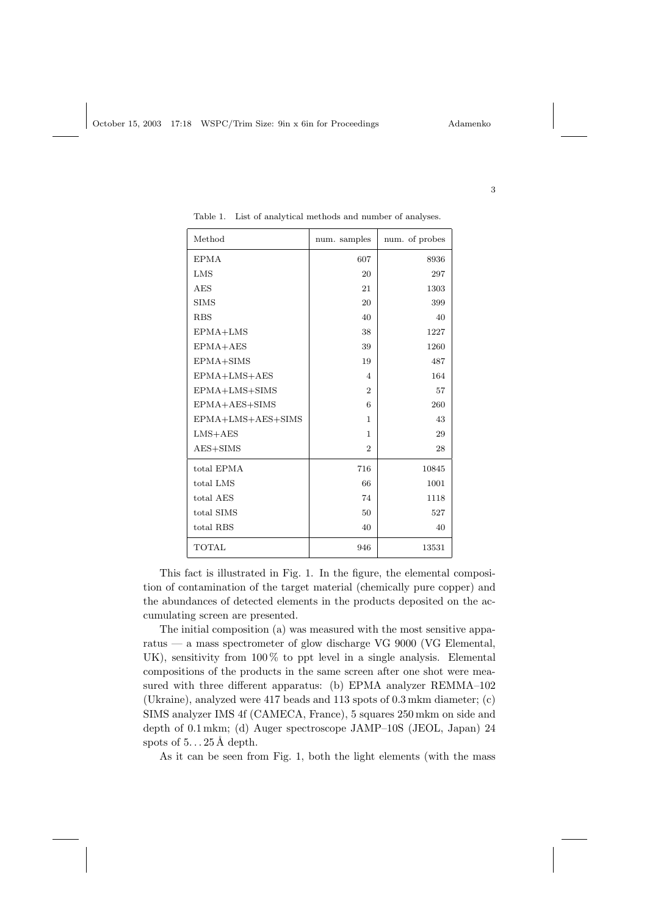| Method            | num. samples             | num. of probes |
|-------------------|--------------------------|----------------|
| <b>EPMA</b>       | 607                      | 8936           |
| LMS               | 20                       | 297            |
| <b>AES</b>        | 21                       | 1303           |
| <b>SIMS</b>       | 20                       | 399            |
| <b>RBS</b>        | 40                       | 40             |
| EPMA+LMS          | 38                       | 1227           |
| EPMA+AES          | 39                       | 1260           |
| EPMA+SIMS         | 19                       | 487            |
| EPMA+LMS+AES      | $\overline{\mathcal{A}}$ | 164            |
| EPMA+LMS+SIMS     | $\overline{2}$           | 57             |
| EPMA+AES+SIMS     | 6                        | 260            |
| EPMA+LMS+AES+SIMS | 1                        | 43             |
| $LMS+AES$         | 1                        | 29             |
| $AES + SIMS$      | $\overline{2}$           | 28             |
| total EPMA        | 716                      | 10845          |
| total LMS         | 66                       | 1001           |
| total AES         | 74                       | 1118           |
| total SIMS        | 50                       | 527            |
| total RBS         | 40                       | 40             |
| <b>TOTAL</b>      | 946                      | 13531          |

Table 1. List of analytical methods and number of analyses.

This fact is illustrated in Fig. 1. In the figure, the elemental composition of contamination of the target material (chemically pure copper) and the abundances of detected elements in the products deposited on the accumulating screen are presented.

The initial composition (a) was measured with the most sensitive apparatus — a mass spectrometer of glow discharge VG 9000 (VG Elemental, UK), sensitivity from 100 % to ppt level in a single analysis. Elemental compositions of the products in the same screen after one shot were measured with three different apparatus: (b) EPMA analyzer REMMA–102 (Ukraine), analyzed were 417 beads and 113 spots of 0.3 mkm diameter; (c) SIMS analyzer IMS 4f (CAMECA, France), 5 squares 250 mkm on side and depth of 0.1 mkm; (d) Auger spectroscope JAMP–10S (JEOL, Japan) 24 spots of  $5...25 \text{\AA}$  depth.

As it can be seen from Fig. 1, both the light elements (with the mass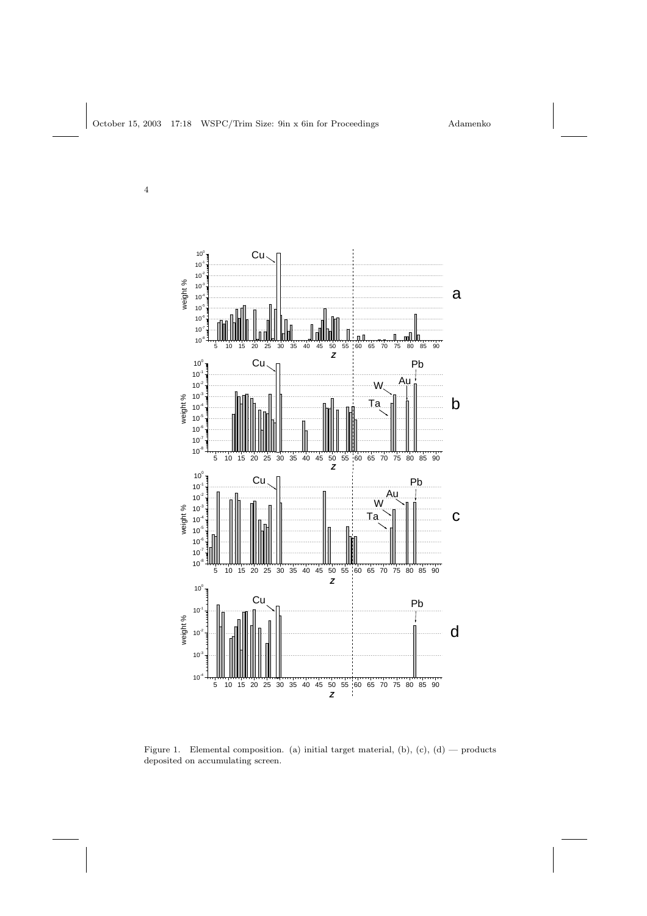

Figure 1. Elemental composition. (a) initial target material, (b),  $(c)$ ,  $(d)$  — products deposited on accumulating screen.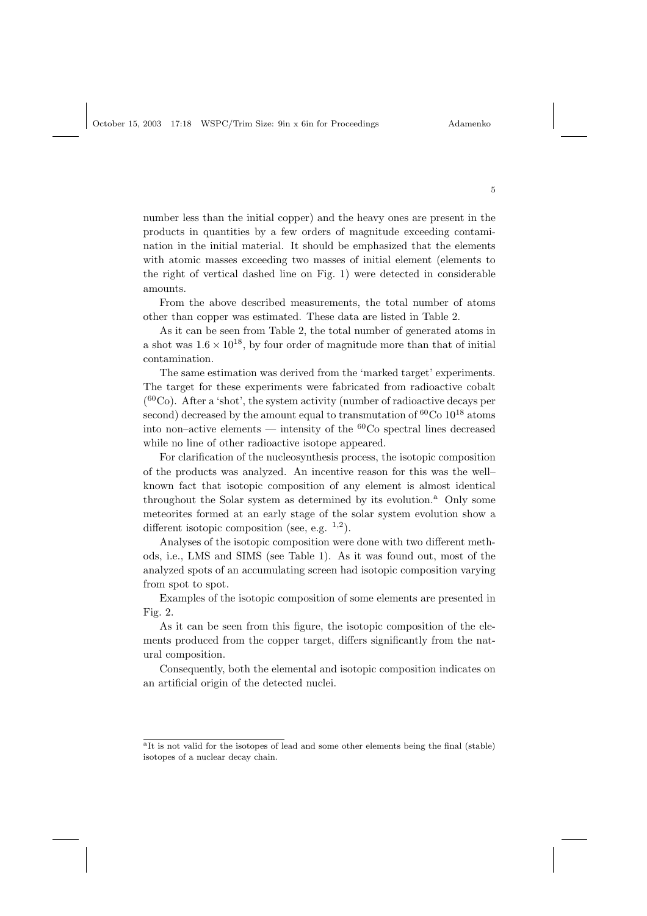October 15, 2003 17:18 WSPC/Trim Size: 9in x 6in for Proceedings Adamenko

number less than the initial copper) and the heavy ones are present in the products in quantities by a few orders of magnitude exceeding contamination in the initial material. It should be emphasized that the elements with atomic masses exceeding two masses of initial element (elements to the right of vertical dashed line on Fig. 1) were detected in considerable amounts.

From the above described measurements, the total number of atoms other than copper was estimated. These data are listed in Table 2.

As it can be seen from Table 2, the total number of generated atoms in a shot was  $1.6 \times 10^{18}$ , by four order of magnitude more than that of initial contamination.

The same estimation was derived from the 'marked target' experiments. The target for these experiments were fabricated from radioactive cobalt ( <sup>60</sup>Co). After a 'shot', the system activity (number of radioactive decays per second) decreased by the amount equal to transmutation of  ${}^{60}Co~10^{18}$  atoms into non–active elements — intensity of the  ${}^{60}Co$  spectral lines decreased while no line of other radioactive isotope appeared.

For clarification of the nucleosynthesis process, the isotopic composition of the products was analyzed. An incentive reason for this was the well– known fact that isotopic composition of any element is almost identical throughout the Solar system as determined by its evolution.<sup>a</sup> Only some meteorites formed at an early stage of the solar system evolution show a different isotopic composition (see, e.g.  $1,2$ ).

Analyses of the isotopic composition were done with two different methods, i.e., LMS and SIMS (see Table 1). As it was found out, most of the analyzed spots of an accumulating screen had isotopic composition varying from spot to spot.

Examples of the isotopic composition of some elements are presented in Fig. 2.

As it can be seen from this figure, the isotopic composition of the elements produced from the copper target, differs significantly from the natural composition.

Consequently, both the elemental and isotopic composition indicates on an artificial origin of the detected nuclei.

<sup>&</sup>lt;sup>a</sup>It is not valid for the isotopes of lead and some other elements being the final (stable) isotopes of a nuclear decay chain.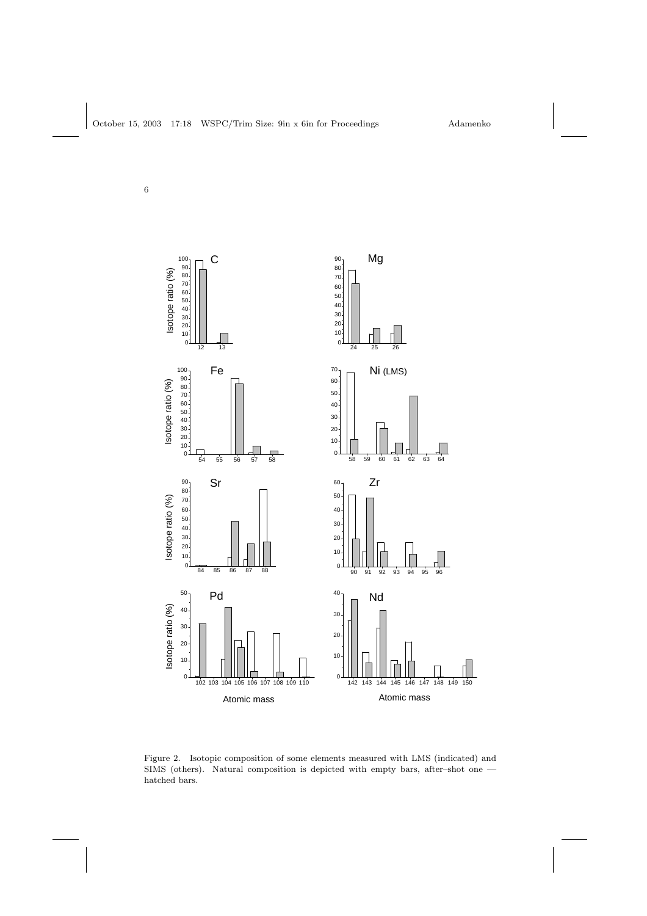

Figure 2. Isotopic composition of some elements measured with LMS (indicated) and SIMS (others). Natural composition is depicted with empty bars, after–shot one hatched bars.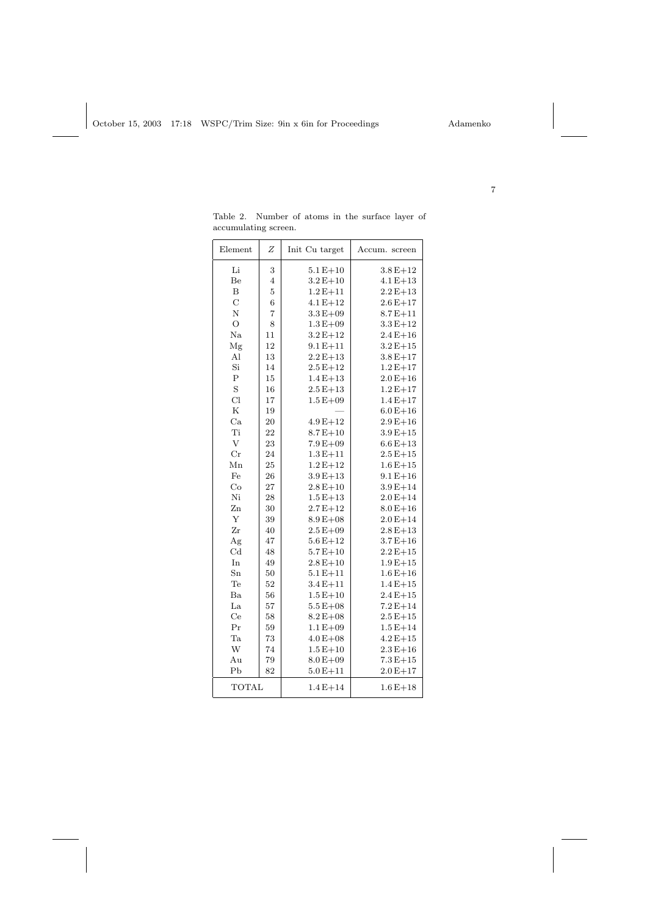|                  | accumulating screen. |                |               |  |
|------------------|----------------------|----------------|---------------|--|
| Element          | Ζ                    | Init Cu target | Accum. screen |  |
| Li               | 3                    | $5.1E + 10$    | $3.8E + 12$   |  |
| Be               | $\overline{4}$       | $3.2E + 10$    | $4.1 E + 13$  |  |
| $\boldsymbol{B}$ | $\overline{5}$       | $1.2E + 11$    | $2.2E+13$     |  |
| $\overline{C}$   | $\boldsymbol{6}$     | $4.1 E + 12$   | $2.6E + 17$   |  |
| N                | $\overline{7}$       | $3.3E + 09$    | $8.7E + 11$   |  |
| $\circ$          | 8                    | $1.3E + 09$    | $3.3E + 12$   |  |
| $\rm Na$         | 11                   | $3.2E + 12$    | $2.4E + 16$   |  |
| Mg               | 12                   | $9.1E + 11$    | $3.2E + 15$   |  |
| $\mathbf{Al}$    | 13                   | $2.2 E + 13$   | $3.8E + 17$   |  |
| Si               | 14                   | $2.5E + 12$    | $1.2E + 17$   |  |
| $\rm P$          | 15                   | $1.4E + 13$    | $2.0E + 16$   |  |
| S                | 16                   | $2.5E + 13$    | $1.2E + 17$   |  |
| Cl               | 17                   | $1.5E + 09$    | $1.4E + 17$   |  |
| $_{\rm K}$       | 19                   |                | $6.0E + 16$   |  |
| Ca               | 20                   | $4.9E + 12$    | $2.9E + 16$   |  |
| Ti               | 22                   | $8.7E + 10$    | $3.9E + 15$   |  |
| V                | 23                   | $7.9E + 09$    | $6.6E + 13$   |  |
| $_{\rm Cr}$      | 24                   | $1.3E + 11$    | $2.5E + 15$   |  |
| Mn               | 25                   | $1.2E + 12$    | $1.6E + 15$   |  |
| Fe               | 26                   | $3.9E + 13$    | $9.1 E + 16$  |  |
| Co               | 27                   | $2.8E + 10$    | $3.9E + 14$   |  |
| Ni               | 28                   | $1.5E + 13$    | $2.0E + 14$   |  |
| Zn               | 30                   | $2.7E + 12$    | $8.0E + 16$   |  |
| Y                | 39                   | $8.9E + 08$    | $2.0E + 14$   |  |
| Zr               | 40                   | $2.5E + 09$    | $2.8E + 13$   |  |
| Ag               | 47                   | $5.6E + 12$    | $3.7E + 16$   |  |
| Cd               | 48                   | $5.7E + 10$    | $2.2E + 15$   |  |
| In               | 49                   | $2.8E + 10$    | $1.9E + 15$   |  |
| Sn               | 50                   | $5.1E + 11$    | $1.6E + 16$   |  |
| Te               | 52                   | $3.4E + 11$    | $1.4E + 15$   |  |
| Ba               | 56                   | $1.5E+10$      | $2.4E + 15$   |  |
| La               | 57                   | $5.5E + 08$    | $7.2E + 14$   |  |
| Ce               | 58                   | $8.2E + 08$    | $2.5E + 15$   |  |
| Pr               | 59                   | $1.1 E + 09$   | $1.5E + 14$   |  |
| Ta               | 73                   | $4.0 E + 08$   | $4.2E + 15$   |  |
| W                | 74                   | $1.5E + 10$    | $2.3E + 16$   |  |
| Au               | 79                   | $8.0E + 09$    | $7.3E + 15$   |  |
| P <sub>b</sub>   | 82                   | $5.0E + 11$    | $2.0E + 17$   |  |
| <b>TOTAL</b>     |                      | $1.4E + 14$    | $1.6E + 18$   |  |

Table 2. Number of atoms in the surface layer of accumulating screen.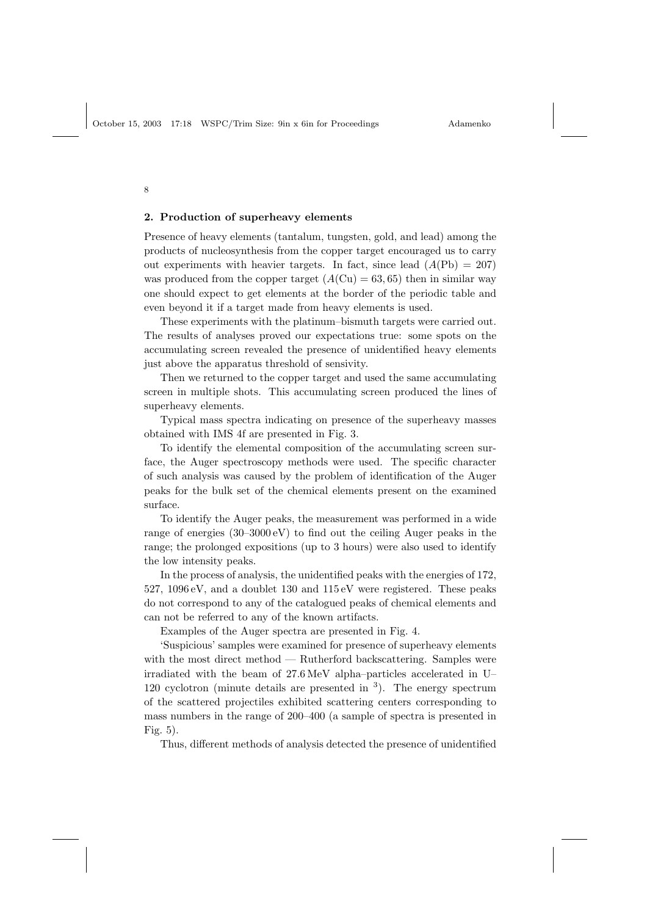#### 2. Production of superheavy elements

Presence of heavy elements (tantalum, tungsten, gold, and lead) among the products of nucleosynthesis from the copper target encouraged us to carry out experiments with heavier targets. In fact, since lead  $(A(\text{Pb}) = 207)$ was produced from the copper target  $(A(Cu) = 63, 65)$  then in similar way one should expect to get elements at the border of the periodic table and even beyond it if a target made from heavy elements is used.

These experiments with the platinum–bismuth targets were carried out. The results of analyses proved our expectations true: some spots on the accumulating screen revealed the presence of unidentified heavy elements just above the apparatus threshold of sensivity.

Then we returned to the copper target and used the same accumulating screen in multiple shots. This accumulating screen produced the lines of superheavy elements.

Typical mass spectra indicating on presence of the superheavy masses obtained with IMS 4f are presented in Fig. 3.

To identify the elemental composition of the accumulating screen surface, the Auger spectroscopy methods were used. The specific character of such analysis was caused by the problem of identification of the Auger peaks for the bulk set of the chemical elements present on the examined surface.

To identify the Auger peaks, the measurement was performed in a wide range of energies (30–3000 eV) to find out the ceiling Auger peaks in the range; the prolonged expositions (up to 3 hours) were also used to identify the low intensity peaks.

In the process of analysis, the unidentified peaks with the energies of 172, 527, 1096 eV, and a doublet 130 and 115 eV were registered. These peaks do not correspond to any of the catalogued peaks of chemical elements and can not be referred to any of the known artifacts.

Examples of the Auger spectra are presented in Fig. 4.

'Suspicious' samples were examined for presence of superheavy elements with the most direct method — Rutherford backscattering. Samples were irradiated with the beam of 27.6 MeV alpha–particles accelerated in U– 120 cyclotron (minute details are presented in  $3$ ). The energy spectrum of the scattered projectiles exhibited scattering centers corresponding to mass numbers in the range of 200–400 (a sample of spectra is presented in Fig. 5).

Thus, different methods of analysis detected the presence of unidentified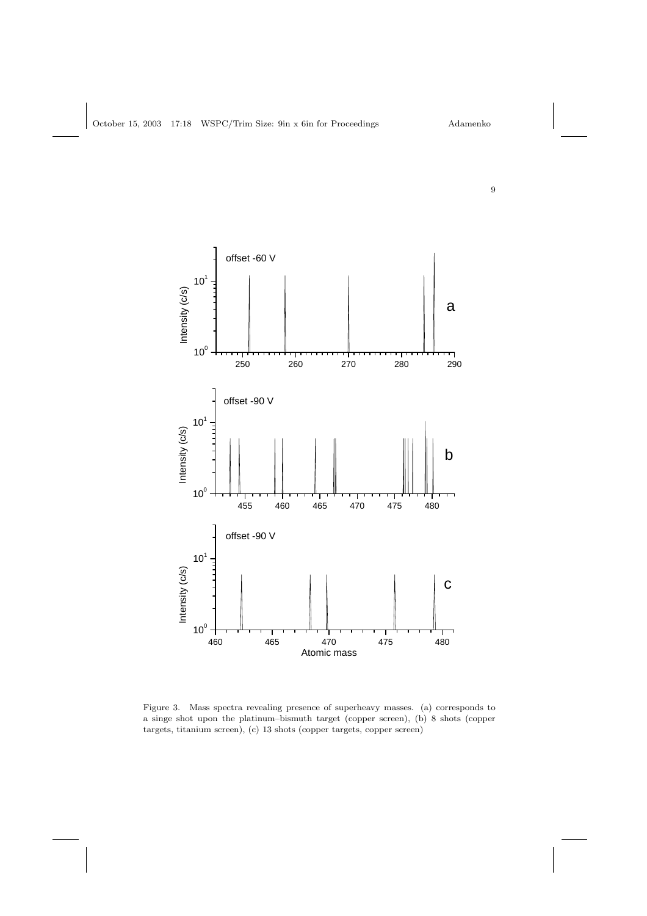

Figure 3. Mass spectra revealing presence of superheavy masses. (a) corresponds to a singe shot upon the platinum–bismuth target (copper screen), (b) 8 shots (copper targets, titanium screen), (c) 13 shots (copper targets, copper screen)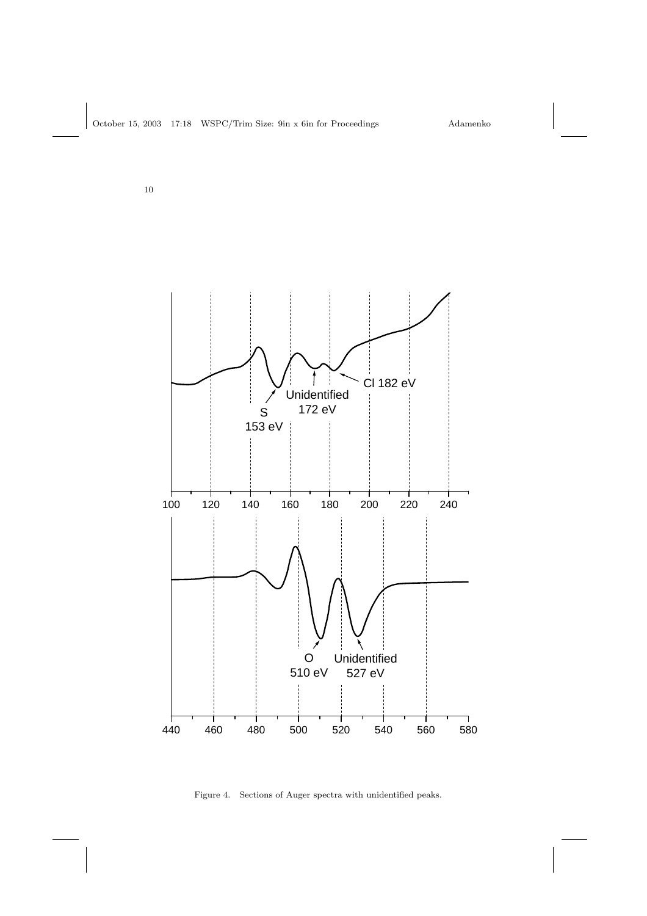

Figure 4. Sections of Auger spectra with unidentified peaks.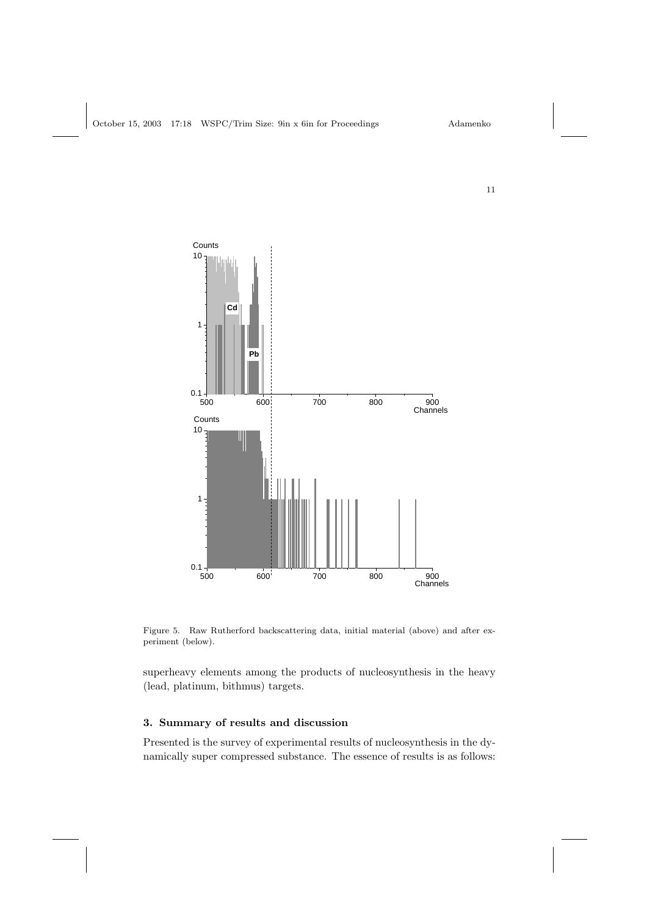

Figure 5. Raw Rutherford backscattering data, initial material (above) and after experiment (below).

superheavy elements among the products of nucleosynthesis in the heavy (lead, platinum, bithmus) targets.

# 3. Summary of results and discussion

Presented is the survey of experimental results of nucleosynthesis in the dynamically super compressed substance. The essence of results is as follows: